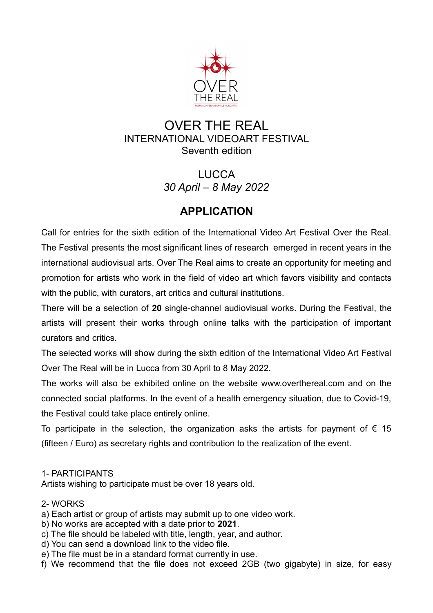

# OVER THE REAL INTERNATIONAL VIDEOART FESTIVAL Seventh edition

LUCCA *30 April – 8 May 2022*

# **APPLICATION**

Call for entries for the sixth edition of the International Video Art Festival Over the Real. The Festival presents the most significant lines of research emerged in recent years in the international audiovisual arts. Over The Real aims to create an opportunity for meeting and promotion for artists who work in the field of video art which favors visibility and contacts with the public, with curators, art critics and cultural institutions.

There will be a selection of **20** single-channel audiovisual works. During the Festival, the artists will present their works through online talks with the participation of important curators and critics.

The selected works will show during the sixth edition of the International Video Art Festival Over The Real will be in Lucca from 30 April to 8 May 2022.

The works will also be exhibited online on the website www.overthereal.com and on the connected social platforms. In the event of a health emergency situation, due to Covid-19, the Festival could take place entirely online.

To participate in the selection, the organization asks the artists for payment of  $\epsilon$  15 (fifteen / Euro) as secretary rights and contribution to the realization of the event.

### 1- PARTICIPANTS

Artists wishing to participate must be over 18 years old.

#### 2- WORKS

- a) Each artist or group of artists may submit up to one video work.
- b) No works are accepted with a date prior to **2021**.
- c) The file should be labeled with title, length, year, and author.
- d) You can send a download link to the video file.
- e) The file must be in a standard format currently in use.
- f) We recommend that the file does not exceed 2GB (two gigabyte) in size, for easy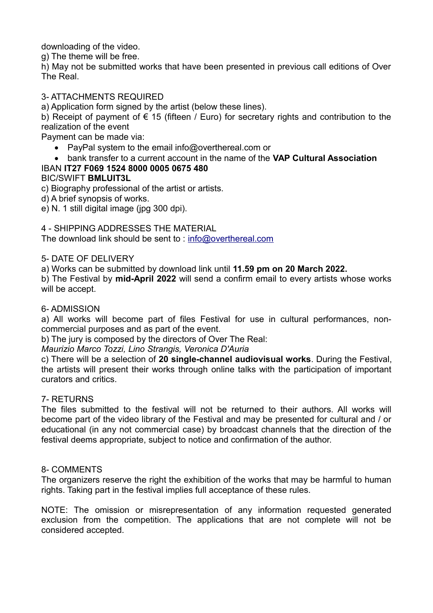downloading of the video.

g) The theme will be free.

h) May not be submitted works that have been presented in previous call editions of Over The Real.

#### 3- ATTACHMENTS REQUIRED

a) Application form signed by the artist (below these lines).

b) Receipt of payment of  $\epsilon$  15 (fifteen / Euro) for secretary rights and contribution to the realization of the event

Payment can be made via:

- PayPal system to the email info@overthereal.com or
- bank transfer to a current account in the name of the **VAP Cultural Association**

#### IBAN **IT27 F069 1524 8000 0005 0675 480** BIC/SWIFT **BMLUIT3L**

c) Biography professional of the artist or artists.

d) A brief synopsis of works.

e) N. 1 still digital image (jpg 300 dpi).

#### 4 - SHIPPING ADDRESSES THE MATERIAL

The download link should be sent to : [info@overthereal.com](mailto:info@overthereal.com)

#### 5- DATE OF DELIVERY

a) Works can be submitted by download link until **11.59 pm on 20 March 2022.**

b) The Festival by **mid-April 2022** will send a confirm email to every artists whose works will be accept.

#### 6- ADMISSION

a) All works will become part of files Festival for use in cultural performances, noncommercial purposes and as part of the event.

b) The jury is composed by the directors of Over The Real:

*Maurizio Marco Tozzi, Lino Strangis, Veronica D'Auria*

c) There will be a selection of **20 single-channel audiovisual works**. During the Festival, the artists will present their works through online talks with the participation of important curators and critics.

#### 7- RETURNS

The files submitted to the festival will not be returned to their authors. All works will become part of the video library of the Festival and may be presented for cultural and / or educational (in any not commercial case) by broadcast channels that the direction of the festival deems appropriate, subject to notice and confirmation of the author.

#### 8- COMMENTS

The organizers reserve the right the exhibition of the works that may be harmful to human rights. Taking part in the festival implies full acceptance of these rules.

NOTE: The omission or misrepresentation of any information requested generated exclusion from the competition. The applications that are not complete will not be considered accepted.